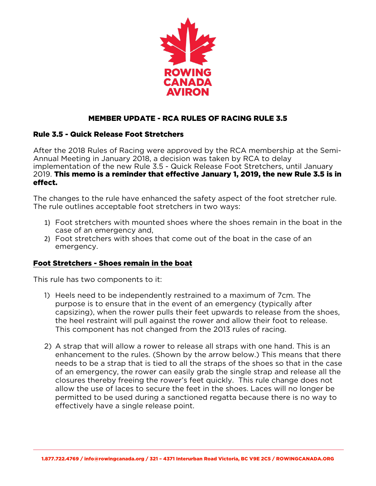

# MEMBER UPDATE - RCA RULES OF RACING RULE 3.5

### Rule 3.5 - Quick Release Foot Stretchers

After the 2018 Rules of Racing were approved by the RCA membership at the Semi-Annual Meeting in January 2018, a decision was taken by RCA to delay implementation of the new Rule 3.5 - Quick Release Foot Stretchers, until January 2019. This memo is a reminder that effective January 1, 2019, the new Rule 3.5 is in effect.

The changes to the rule have enhanced the safety aspect of the foot stretcher rule. The rule outlines acceptable foot stretchers in two ways:

- 1) Foot stretchers with mounted shoes where the shoes remain in the boat in the case of an emergency and,
- 2) Foot stretchers with shoes that come out of the boat in the case of an emergency.

### Foot Stretchers - Shoes remain in the boat

This rule has two components to it:

- 1) Heels need to be independently restrained to a maximum of 7cm. The purpose is to ensure that in the event of an emergency (typically after capsizing), when the rower pulls their feet upwards to release from the shoes, the heel restraint will pull against the rower and allow their foot to release. This component has not changed from the 2013 rules of racing.
- 2) A strap that will allow a rower to release all straps with one hand. This is an enhancement to the rules. (Shown by the arrow below.) This means that there needs to be a strap that is tied to all the straps of the shoes so that in the case of an emergency, the rower can easily grab the single strap and release all the closures thereby freeing the rower's feet quickly. This rule change does not allow the use of laces to secure the feet in the shoes. Laces will no longer be permitted to be used during a sanctioned regatta because there is no way to effectively have a single release point.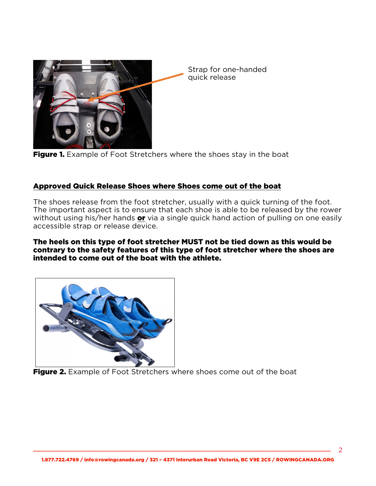



## Approved Quick Release Shoes where Shoes come out of the boat

The shoes release from the foot stretcher, usually with a quick turning of the foot. The important aspect is to ensure that each shoe is able to be released by the rower without using his/her hands **or** via a single quick hand action of pulling on one easily accessible strap or release device.

The heels on this type of foot stretcher MUST not be tied down as this would be contrary to the safety features of this type of foot stretcher where the shoes are intended to come out of the boat with the athlete.



Figure 2. Example of Foot Stretchers where shoes come out of the boat

\_\_\_\_\_\_\_\_\_\_\_\_\_\_\_\_\_\_\_\_\_\_\_\_\_\_\_\_\_\_\_\_\_\_\_\_\_\_\_\_\_\_\_\_\_\_\_\_\_\_\_\_\_\_\_\_\_\_\_\_\_\_\_\_\_\_\_\_\_\_\_\_\_\_\_\_\_\_\_\_\_\_\_\_\_\_\_\_\_\_\_\_\_\_\_\_\_\_\_\_\_